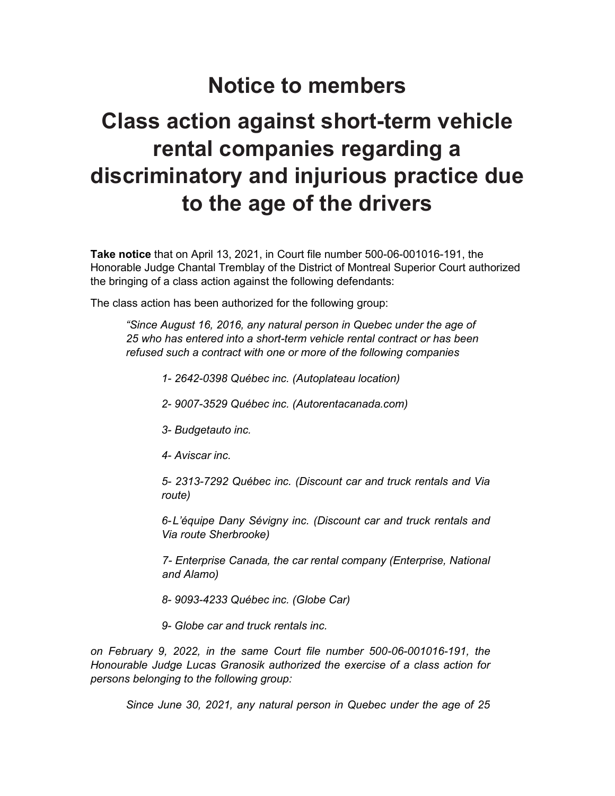# **Notice to members**

# **Class action against short-term vehicle rental companies regarding a discriminatory and injurious practice due to the age of the drivers**

**Take notice** that on April 13, 2021, in Court file number 500-06-001016-191, the Honorable Judge Chantal Tremblay of the District of Montreal Superior Court authorized the bringing of a class action against the following defendants:

The class action has been authorized for the following group:

*"Since August 16, 2016, any natural person in Quebec under the age of 25 who has entered into a short-term vehicle rental contract or has been refused such a contract with one or more of the following companies*

- *1- 2642-0398 Québec inc. (Autoplateau location)*
- *2- 9007-3529 Québec inc. (Autorentacanada.com)*
- *3- Budgetauto inc.*
- *4- Aviscar inc.*

*5- 2313-7292 Québec inc. (Discount car and truck rentals and Via route)*

*6-L'équipe Dany Sévigny inc. (Discount car and truck rentals and Via route Sherbrooke)*

*7- Enterprise Canada, the car rental company (Enterprise, National and Alamo)*

- *8- 9093-4233 Québec inc. (Globe Car)*
- *9- Globe car and truck rentals inc.*

*on February 9, 2022, in the same Court file number 500-06-001016-191, the Honourable Judge Lucas Granosik authorized the exercise of a class action for persons belonging to the following group:*

*Since June 30, 2021, any natural person in Quebec under the age of 25*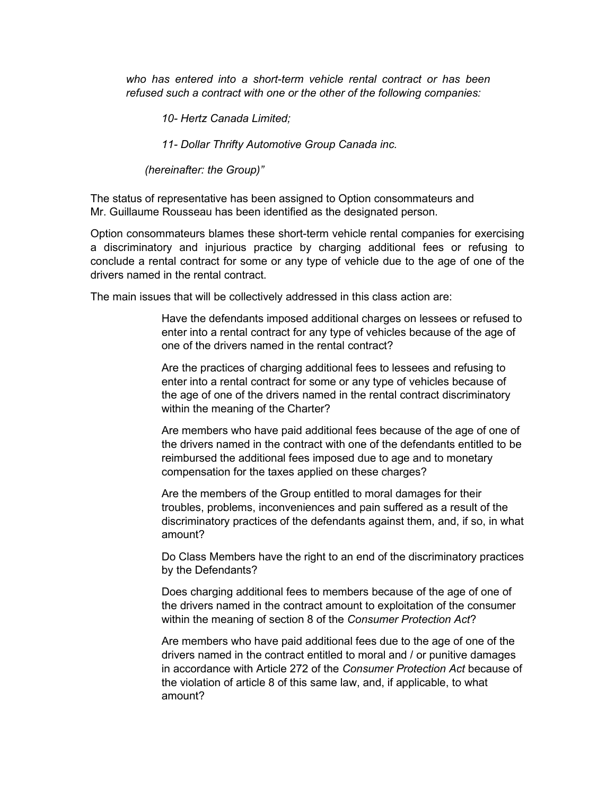*who has entered into a short-term vehicle rental contract or has been refused such a contract with one or the other of the following companies:*

*10- Hertz Canada Limited;*

*11- Dollar Thrifty Automotive Group Canada inc.*

*(hereinafter: the Group)"*

The status of representative has been assigned to Option consommateurs and Mr. Guillaume Rousseau has been identified as the designated person.

Option consommateurs blames these short-term vehicle rental companies for exercising a discriminatory and injurious practice by charging additional fees or refusing to conclude a rental contract for some or any type of vehicle due to the age of one of the drivers named in the rental contract.

The main issues that will be collectively addressed in this class action are:

Have the defendants imposed additional charges on lessees or refused to enter into a rental contract for any type of vehicles because of the age of one of the drivers named in the rental contract?

Are the practices of charging additional fees to lessees and refusing to enter into a rental contract for some or any type of vehicles because of the age of one of the drivers named in the rental contract discriminatory within the meaning of the Charter?

Are members who have paid additional fees because of the age of one of the drivers named in the contract with one of the defendants entitled to be reimbursed the additional fees imposed due to age and to monetary compensation for the taxes applied on these charges?

Are the members of the Group entitled to moral damages for their troubles, problems, inconveniences and pain suffered as a result of the discriminatory practices of the defendants against them, and, if so, in what amount?

Do Class Members have the right to an end of the discriminatory practices by the Defendants?

Does charging additional fees to members because of the age of one of the drivers named in the contract amount to exploitation of the consumer within the meaning of section 8 of the *Consumer Protection Act*?

Are members who have paid additional fees due to the age of one of the drivers named in the contract entitled to moral and / or punitive damages in accordance with Article 272 of the *Consumer Protection Act* because of the violation of article 8 of this same law, and, if applicable, to what amount?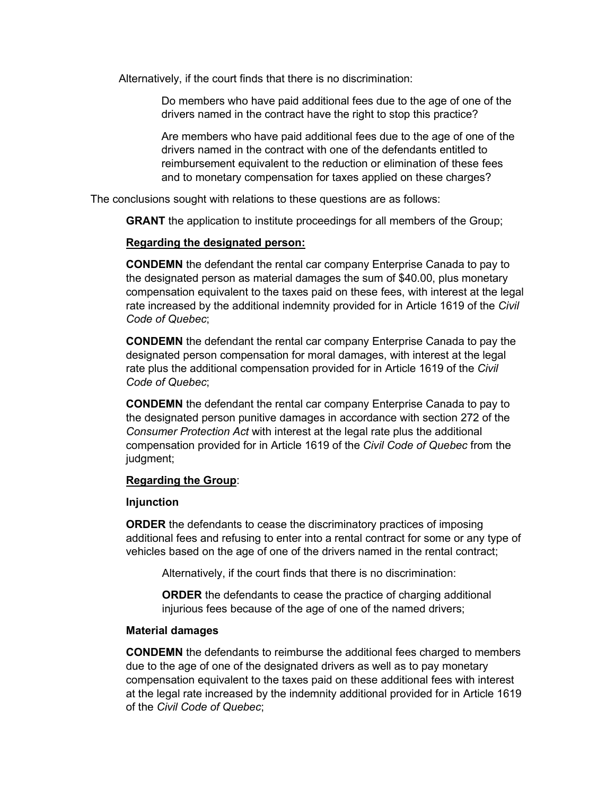Alternatively, if the court finds that there is no discrimination:

Do members who have paid additional fees due to the age of one of the drivers named in the contract have the right to stop this practice?

Are members who have paid additional fees due to the age of one of the drivers named in the contract with one of the defendants entitled to reimbursement equivalent to the reduction or elimination of these fees and to monetary compensation for taxes applied on these charges?

The conclusions sought with relations to these questions are as follows:

**GRANT** the application to institute proceedings for all members of the Group;

## **Regarding the designated person:**

**CONDEMN** the defendant the rental car company Enterprise Canada to pay to the designated person as material damages the sum of \$40.00, plus monetary compensation equivalent to the taxes paid on these fees, with interest at the legal rate increased by the additional indemnity provided for in Article 1619 of the *Civil Code of Quebec*;

**CONDEMN** the defendant the rental car company Enterprise Canada to pay the designated person compensation for moral damages, with interest at the legal rate plus the additional compensation provided for in Article 1619 of the *Civil Code of Quebec*;

**CONDEMN** the defendant the rental car company Enterprise Canada to pay to the designated person punitive damages in accordance with section 272 of the *Consumer Protection Act* with interest at the legal rate plus the additional compensation provided for in Article 1619 of the *Civil Code of Quebec* from the judgment;

## **Regarding the Group**:

#### **Injunction**

**ORDER** the defendants to cease the discriminatory practices of imposing additional fees and refusing to enter into a rental contract for some or any type of vehicles based on the age of one of the drivers named in the rental contract;

Alternatively, if the court finds that there is no discrimination:

**ORDER** the defendants to cease the practice of charging additional injurious fees because of the age of one of the named drivers;

#### **Material damages**

**CONDEMN** the defendants to reimburse the additional fees charged to members due to the age of one of the designated drivers as well as to pay monetary compensation equivalent to the taxes paid on these additional fees with interest at the legal rate increased by the indemnity additional provided for in Article 1619 of the *Civil Code of Quebec*;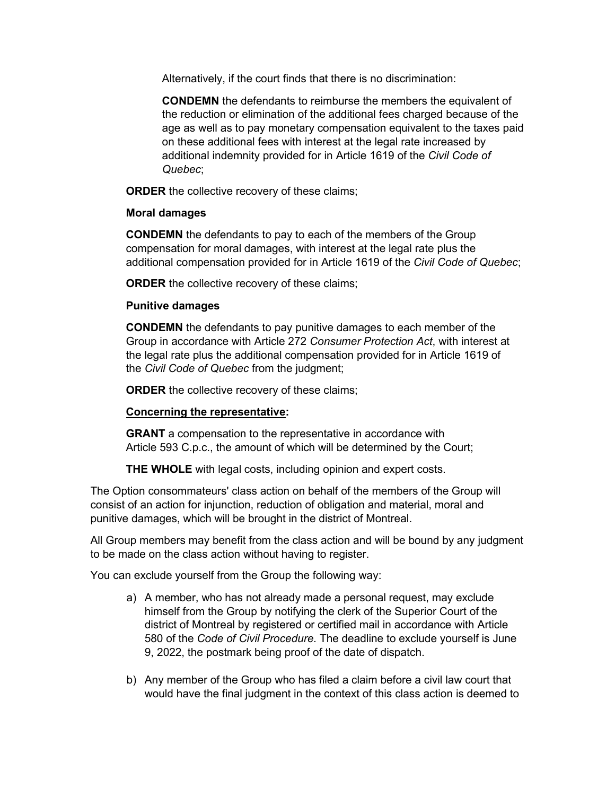Alternatively, if the court finds that there is no discrimination:

**CONDEMN** the defendants to reimburse the members the equivalent of the reduction or elimination of the additional fees charged because of the age as well as to pay monetary compensation equivalent to the taxes paid on these additional fees with interest at the legal rate increased by additional indemnity provided for in Article 1619 of the *Civil Code of Quebec*;

**ORDER** the collective recovery of these claims;

# **Moral damages**

**CONDEMN** the defendants to pay to each of the members of the Group compensation for moral damages, with interest at the legal rate plus the additional compensation provided for in Article 1619 of the *Civil Code of Quebec*;

**ORDER** the collective recovery of these claims;

# **Punitive damages**

**CONDEMN** the defendants to pay punitive damages to each member of the Group in accordance with Article 272 *Consumer Protection Act*, with interest at the legal rate plus the additional compensation provided for in Article 1619 of the *Civil Code of Quebec* from the judgment;

**ORDER** the collective recovery of these claims;

# **Concerning the representative:**

**GRANT** a compensation to the representative in accordance with Article 593 C.p.c., the amount of which will be determined by the Court;

**THE WHOLE** with legal costs, including opinion and expert costs.

The Option consommateurs' class action on behalf of the members of the Group will consist of an action for injunction, reduction of obligation and material, moral and punitive damages, which will be brought in the district of Montreal.

All Group members may benefit from the class action and will be bound by any judgment to be made on the class action without having to register.

You can exclude yourself from the Group the following way:

- a) A member, who has not already made a personal request, may exclude himself from the Group by notifying the clerk of the Superior Court of the district of Montreal by registered or certified mail in accordance with Article 580 of the *Code of Civil Procedure*. The deadline to exclude yourself is June 9, 2022, the postmark being proof of the date of dispatch.
- b) Any member of the Group who has filed a claim before a civil law court that would have the final judgment in the context of this class action is deemed to